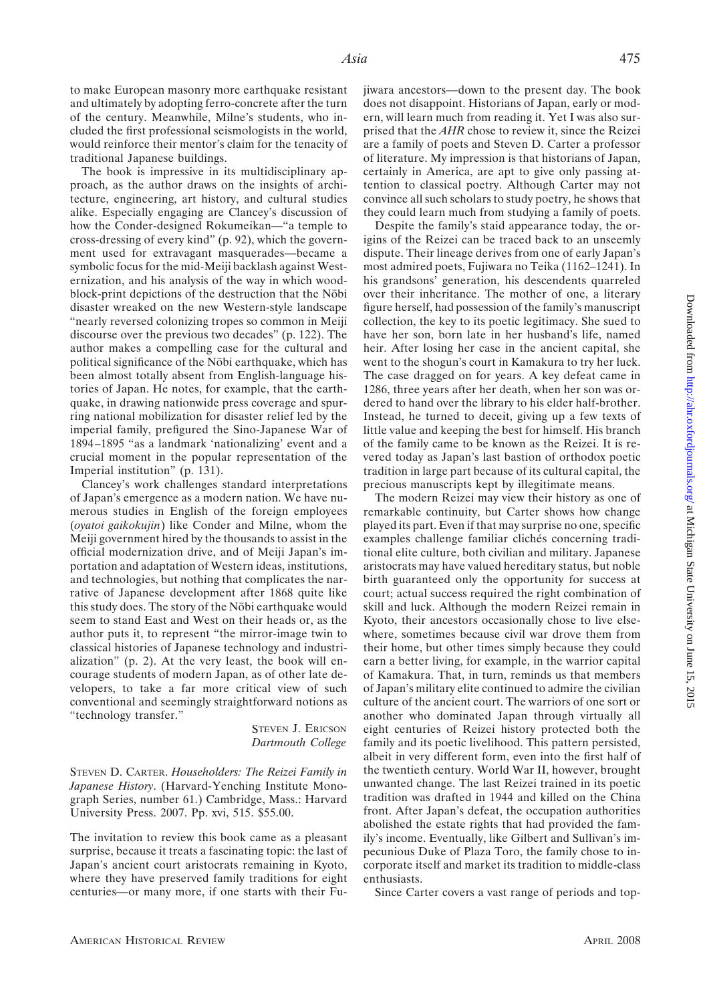to make European masonry more earthquake resistant and ultimately by adopting ferro-concrete after the turn of the century. Meanwhile, Milne's students, who included the first professional seismologists in the world, would reinforce their mentor's claim for the tenacity of traditional Japanese buildings.

The book is impressive in its multidisciplinary approach, as the author draws on the insights of architecture, engineering, art history, and cultural studies alike. Especially engaging are Clancey's discussion of how the Conder-designed Rokumeikan—"a temple to cross-dressing of every kind" (p. 92), which the government used for extravagant masquerades—became a symbolic focus for the mid-Meiji backlash against Westernization, and his analysis of the way in which woodblock-print depictions of the destruction that the Nobi disaster wreaked on the new Western-style landscape "nearly reversed colonizing tropes so common in Meiji discourse over the previous two decades" (p. 122). The author makes a compelling case for the cultural and political significance of the Nobi earthquake, which has been almost totally absent from English-language histories of Japan. He notes, for example, that the earthquake, in drawing nationwide press coverage and spurring national mobilization for disaster relief led by the imperial family, prefigured the Sino-Japanese War of 1894–1895 "as a landmark 'nationalizing' event and a crucial moment in the popular representation of the Imperial institution" (p. 131).

Clancey's work challenges standard interpretations of Japan's emergence as a modern nation. We have numerous studies in English of the foreign employees (*oyatoi gaikokujin*) like Conder and Milne, whom the Meiji government hired by the thousands to assist in the official modernization drive, and of Meiji Japan's importation and adaptation of Western ideas, institutions, and technologies, but nothing that complicates the narrative of Japanese development after 1868 quite like this study does. The story of the Nobi earthquake would seem to stand East and West on their heads or, as the author puts it, to represent "the mirror-image twin to classical histories of Japanese technology and industrialization" (p. 2). At the very least, the book will encourage students of modern Japan, as of other late developers, to take a far more critical view of such conventional and seemingly straightforward notions as "technology transfer."

> STEVEN J. ERICSON *Dartmouth College*

STEVEN D. CARTER. *Householders: The Reizei Family in Japanese History*. (Harvard-Yenching Institute Monograph Series, number 61.) Cambridge, Mass.: Harvard University Press. 2007. Pp. xvi, 515. \$55.00.

The invitation to review this book came as a pleasant surprise, because it treats a fascinating topic: the last of Japan's ancient court aristocrats remaining in Kyoto, where they have preserved family traditions for eight centuries—or many more, if one starts with their Fujiwara ancestors—down to the present day. The book does not disappoint. Historians of Japan, early or modern, will learn much from reading it. Yet I was also surprised that the *AHR* chose to review it, since the Reizei are a family of poets and Steven D. Carter a professor of literature. My impression is that historians of Japan, certainly in America, are apt to give only passing attention to classical poetry. Although Carter may not convince all such scholars to study poetry, he shows that they could learn much from studying a family of poets.

Despite the family's staid appearance today, the origins of the Reizei can be traced back to an unseemly dispute. Their lineage derives from one of early Japan's most admired poets, Fujiwara no Teika (1162–1241). In his grandsons' generation, his descendents quarreled over their inheritance. The mother of one, a literary figure herself, had possession of the family's manuscript collection, the key to its poetic legitimacy. She sued to have her son, born late in her husband's life, named heir. After losing her case in the ancient capital, she went to the shogun's court in Kamakura to try her luck. The case dragged on for years. A key defeat came in 1286, three years after her death, when her son was ordered to hand over the library to his elder half-brother. Instead, he turned to deceit, giving up a few texts of little value and keeping the best for himself. His branch of the family came to be known as the Reizei. It is revered today as Japan's last bastion of orthodox poetic tradition in large part because of its cultural capital, the precious manuscripts kept by illegitimate means.

The modern Reizei may view their history as one of remarkable continuity, but Carter shows how change played its part. Even if that may surprise no one, specific examples challenge familiar clichés concerning traditional elite culture, both civilian and military. Japanese aristocrats may have valued hereditary status, but noble birth guaranteed only the opportunity for success at court; actual success required the right combination of skill and luck. Although the modern Reizei remain in Kyoto, their ancestors occasionally chose to live elsewhere, sometimes because civil war drove them from their home, but other times simply because they could earn a better living, for example, in the warrior capital of Kamakura. That, in turn, reminds us that members of Japan's military elite continued to admire the civilian culture of the ancient court. The warriors of one sort or another who dominated Japan through virtually all eight centuries of Reizei history protected both the family and its poetic livelihood. This pattern persisted, albeit in very different form, even into the first half of the twentieth century. World War II, however, brought unwanted change. The last Reizei trained in its poetic tradition was drafted in 1944 and killed on the China front. After Japan's defeat, the occupation authorities abolished the estate rights that had provided the family's income. Eventually, like Gilbert and Sullivan's impecunious Duke of Plaza Toro, the family chose to incorporate itself and market its tradition to middle-class enthusiasts.

Since Carter covers a vast range of periods and top-